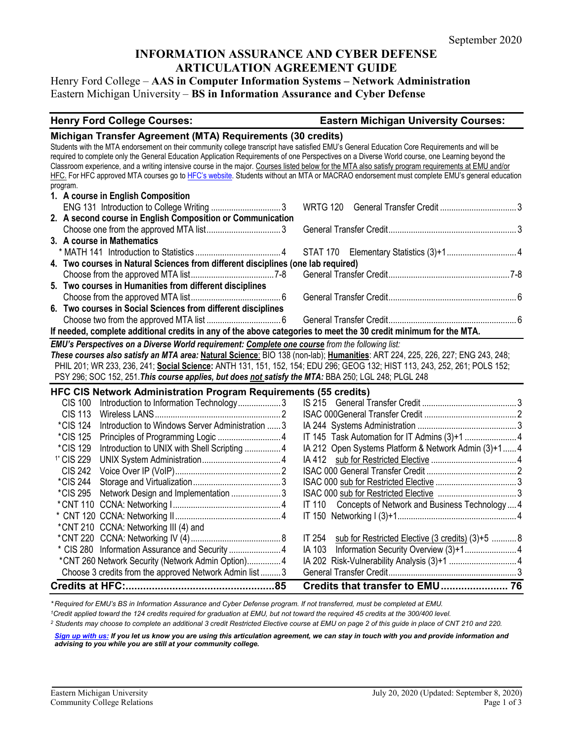## **INFORMATION ASSURANCE AND CYBER DEFENSE ARTICULATION AGREEMENT GUIDE**

Henry Ford College – **AAS in Computer Information Systems – Network Administration** Eastern Michigan University – **BS in Information Assurance and Cyber Defense**

## **Henry Ford College Courses: Eastern Michigan University Courses:**

| Michigan Transfer Agreement (MTA) Requirements (30 credits)                                                                                                                                                                                                                                       |                                                         |  |  |  |  |
|---------------------------------------------------------------------------------------------------------------------------------------------------------------------------------------------------------------------------------------------------------------------------------------------------|---------------------------------------------------------|--|--|--|--|
| Students with the MTA endorsement on their community college transcript have satisfied EMU's General Education Core Requirements and will be                                                                                                                                                      |                                                         |  |  |  |  |
| required to complete only the General Education Application Requirements of one Perspectives on a Diverse World course, one Learning beyond the                                                                                                                                                   |                                                         |  |  |  |  |
| Classroom experience, and a writing intensive course in the major. Courses listed below for the MTA also satisfy program requirements at EMU and/or<br>HFC. For HFC approved MTA courses go to HFC's website. Students without an MTA or MACRAO endorsement must complete EMU's general education |                                                         |  |  |  |  |
| program.                                                                                                                                                                                                                                                                                          |                                                         |  |  |  |  |
| 1. A course in English Composition                                                                                                                                                                                                                                                                |                                                         |  |  |  |  |
|                                                                                                                                                                                                                                                                                                   | <b>WRTG 120</b>                                         |  |  |  |  |
| 2. A second course in English Composition or Communication                                                                                                                                                                                                                                        |                                                         |  |  |  |  |
|                                                                                                                                                                                                                                                                                                   |                                                         |  |  |  |  |
| 3. A course in Mathematics                                                                                                                                                                                                                                                                        |                                                         |  |  |  |  |
|                                                                                                                                                                                                                                                                                                   |                                                         |  |  |  |  |
| 4. Two courses in Natural Sciences from different disciplines (one lab required)                                                                                                                                                                                                                  |                                                         |  |  |  |  |
|                                                                                                                                                                                                                                                                                                   |                                                         |  |  |  |  |
| 5. Two courses in Humanities from different disciplines                                                                                                                                                                                                                                           |                                                         |  |  |  |  |
|                                                                                                                                                                                                                                                                                                   |                                                         |  |  |  |  |
| 6. Two courses in Social Sciences from different disciplines                                                                                                                                                                                                                                      |                                                         |  |  |  |  |
|                                                                                                                                                                                                                                                                                                   |                                                         |  |  |  |  |
| If needed, complete additional credits in any of the above categories to meet the 30 credit minimum for the MTA.                                                                                                                                                                                  |                                                         |  |  |  |  |
| EMU's Perspectives on a Diverse World requirement: Complete one course from the following list:                                                                                                                                                                                                   |                                                         |  |  |  |  |
| These courses also satisfy an MTA area: Natural Science: BIO 138 (non-lab); Humanities: ART 224, 225, 226, 227; ENG 243, 248;                                                                                                                                                                     |                                                         |  |  |  |  |
| PHIL 201; WR 233, 236, 241; Social Science: ANTH 131, 151, 152, 154; EDU 296; GEOG 132; HIST 113, 243, 252, 261; POLS 152;                                                                                                                                                                        |                                                         |  |  |  |  |
| PSY 296; SOC 152, 251. This course applies, but does not satisfy the MTA: BBA 250; LGL 248; PLGL 248                                                                                                                                                                                              |                                                         |  |  |  |  |
| HFC CIS Network Administration Program Requirements (55 credits)                                                                                                                                                                                                                                  |                                                         |  |  |  |  |
| Introduction to Information Technology3<br><b>CIS 100</b>                                                                                                                                                                                                                                         |                                                         |  |  |  |  |
| <b>CIS 113</b>                                                                                                                                                                                                                                                                                    |                                                         |  |  |  |  |
| <i>*CIS</i> 124<br>Introduction to Windows Server Administration  3                                                                                                                                                                                                                               |                                                         |  |  |  |  |
| <i>*CIS</i> 125                                                                                                                                                                                                                                                                                   |                                                         |  |  |  |  |
| Introduction to UNIX with Shell Scripting  4<br>*CIS 129                                                                                                                                                                                                                                          | IA 212 Open Systems Platform & Network Admin (3)+1 4    |  |  |  |  |
| <sup>1</sup> * CIS 229                                                                                                                                                                                                                                                                            |                                                         |  |  |  |  |
| <b>CIS 242</b>                                                                                                                                                                                                                                                                                    |                                                         |  |  |  |  |
| *CIS 244                                                                                                                                                                                                                                                                                          |                                                         |  |  |  |  |
| Network Design and Implementation  3<br><i><b>*CIS 295</b></i>                                                                                                                                                                                                                                    |                                                         |  |  |  |  |
|                                                                                                                                                                                                                                                                                                   | IT 110 Concepts of Network and Business Technology  4   |  |  |  |  |
|                                                                                                                                                                                                                                                                                                   |                                                         |  |  |  |  |
| *CNT 210 CCNA: Networking III (4) and                                                                                                                                                                                                                                                             |                                                         |  |  |  |  |
|                                                                                                                                                                                                                                                                                                   |                                                         |  |  |  |  |
|                                                                                                                                                                                                                                                                                                   | IT 254 sub for Restricted Elective (3 credits) (3)+5  8 |  |  |  |  |
| * CIS 280 Information Assurance and Security  4                                                                                                                                                                                                                                                   |                                                         |  |  |  |  |
| *CNT 260 Network Security (Network Admin Option) 4                                                                                                                                                                                                                                                |                                                         |  |  |  |  |
| Choose 3 credits from the approved Network Admin list  3                                                                                                                                                                                                                                          |                                                         |  |  |  |  |

*\* Required for EMU's BS in Information Assurance and Cyber Defense program. If not transferred, must be completed at EMU.* 

*1Credit applied toward the 124 credits required for graduation at EMU, but not toward the required 45 credits at the 300/400 level.*

*<sup>2</sup> Students may choose to complete an additional 3 credit Restricted Elective course at EMU on page 2 of this guide in place of CNT 210 and 220.* 

*[Sign up with us:](https://www.emich.edu/ccr/articulation-agreements/signup.php) If you let us know you are using this articulation agreement, we can stay in touch with you and provide information and advising to you while you are still at your community college.*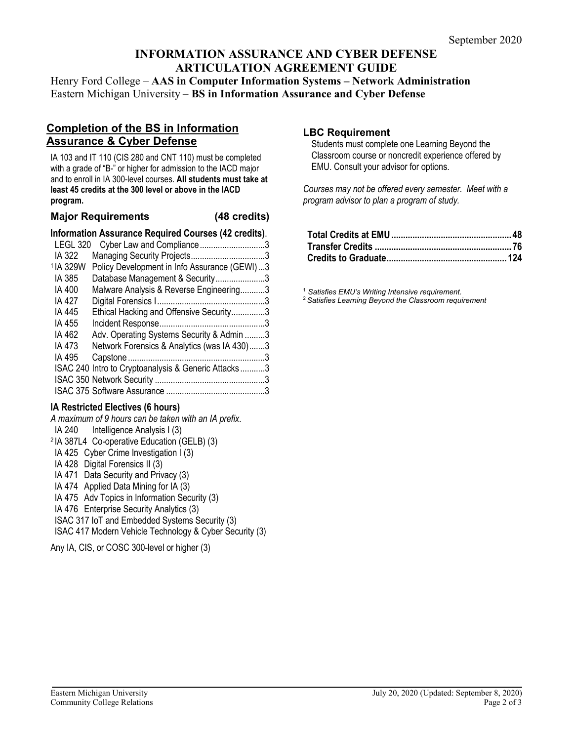## **INFORMATION ASSURANCE AND CYBER DEFENSE ARTICULATION AGREEMENT GUIDE**

Henry Ford College – **AAS in Computer Information Systems – Network Administration** Eastern Michigan University – **BS in Information Assurance and Cyber Defense**

## **Completion of the BS in Information Assurance & Cyber Defense**

IA 103 and IT 110 (CIS 280 and CNT 110) must be completed with a grade of "B-" or higher for admission to the IACD major and to enroll in IA 300-level courses. **All students must take at least 45 credits at the 300 level or above in the IACD program.**

#### **Major Requirements (48 credits)**

#### **Information Assurance Required Courses (42 credits)**.

| LEGL 320             | Cyber Law and Compliance3                           |  |
|----------------------|-----------------------------------------------------|--|
| IA 322               |                                                     |  |
| <sup>1</sup> IA 329W | Policy Development in Info Assurance (GEWI)3        |  |
| IA 385               | Database Management & Security3                     |  |
| IA 400               | Malware Analysis & Reverse Engineering3             |  |
| IA 427               |                                                     |  |
| IA 445               | Ethical Hacking and Offensive Security3             |  |
| IA 455               |                                                     |  |
| IA 462               | Adv. Operating Systems Security & Admin 3           |  |
| IA 473               | Network Forensics & Analytics (was IA 430)3         |  |
| IA 495               |                                                     |  |
|                      | ISAC 240 Intro to Cryptoanalysis & Generic Attacks3 |  |
|                      |                                                     |  |
|                      |                                                     |  |
|                      |                                                     |  |

#### **IA Restricted Electives (6 hours)**

*A maximum of 9 hours can be taken with an IA prefix*. IA 240 Intelligence Analysis I (3) <sup>2</sup> IA 387L4 Co-operative Education (GELB) (3) IA 425 Cyber Crime Investigation I (3) IA 428 Digital Forensics II (3) IA 471 Data Security and Privacy (3) IA 474 Applied Data Mining for IA (3) IA 475 Adv Topics in Information Security (3) IA 476 Enterprise Security Analytics (3) ISAC 317 IoT and Embedded Systems Security (3) ISAC 417 Modern Vehicle Technology & Cyber Security (3)

Any IA, CIS, or COSC 300-level or higher (3)

### **LBC Requirement**

Students must complete one Learning Beyond the Classroom course or noncredit experience offered by EMU. Consult your advisor for options.

*Courses may not be offered every semester. Meet with a program advisor to plan a program of study.*

<sup>1</sup> *Satisfies EMU's Writing Intensive requirement.* 

2 *Satisfies Learning Beyond the Classroom requirement*